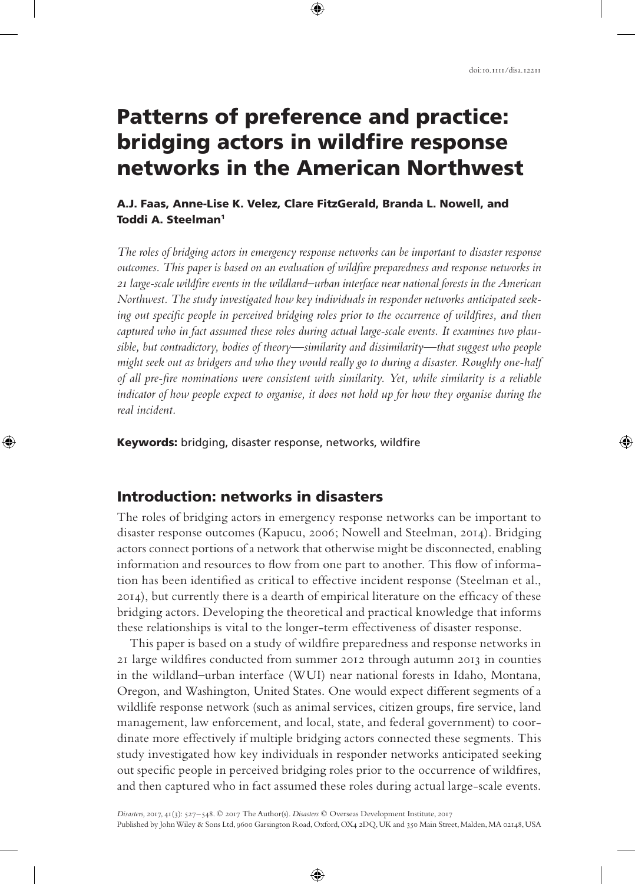# Patterns of preference and practice: bridging actors in wildfire response networks in the American Northwest

#### A.J. Faas, Anne-Lise K. Velez, Clare FitzGerald, Branda L. Nowell, and Toddi A. Steelman1

*The roles of bridging actors in emergency response networks can be important to disaster response outcomes. This paper is based on an evaluation of wildfire preparedness and response networks in 21 large-scale wildfire events in the wildland–urban interface near national forests in the American Northwest. The study investigated how key individuals in responder networks anticipated seeking out specific people in perceived bridging roles prior to the occurrence of wildfires, and then captured who in fact assumed these roles during actual large-scale events. It examines two plausible, but contradictory, bodies of theory—similarity and dissimilarity—that suggest who people might seek out as bridgers and who they would really go to during a disaster. Roughly one-half of all pre-fire nominations were consistent with similarity. Yet, while similarity is a reliable indicator of how people expect to organise, it does not hold up for how they organise during the real incident.*

Keywords: bridging, disaster response, networks, wildfire

## Introduction: networks in disasters

The roles of bridging actors in emergency response networks can be important to disaster response outcomes (Kapucu, 2006; Nowell and Steelman, 2014). Bridging actors connect portions of a network that otherwise might be disconnected, enabling information and resources to flow from one part to another. This flow of information has been identified as critical to effective incident response (Steelman et al., 2014), but currently there is a dearth of empirical literature on the efficacy of these bridging actors. Developing the theoretical and practical knowledge that informs these relationships is vital to the longer-term effectiveness of disaster response.

This paper is based on a study of wildfire preparedness and response networks in 21 large wildfires conducted from summer 2012 through autumn 2013 in counties in the wildland–urban interface (WUI) near national forests in Idaho, Montana, Oregon, and Washington, United States. One would expect different segments of a wildlife response network (such as animal services, citizen groups, fire service, land management, law enforcement, and local, state, and federal government) to coordinate more effectively if multiple bridging actors connected these segments. This study investigated how key individuals in responder networks anticipated seeking out specific people in perceived bridging roles prior to the occurrence of wildfires, and then captured who in fact assumed these roles during actual large-scale events.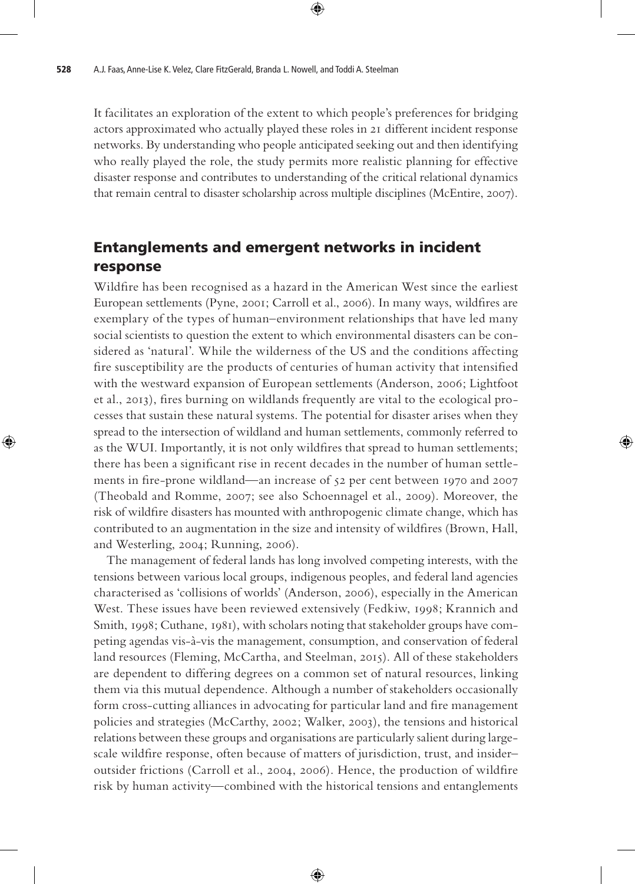It facilitates an exploration of the extent to which people's preferences for bridging actors approximated who actually played these roles in 21 different incident response networks. By understanding who people anticipated seeking out and then identifying who really played the role, the study permits more realistic planning for effective disaster response and contributes to understanding of the critical relational dynamics that remain central to disaster scholarship across multiple disciplines (McEntire, 2007).

## Entanglements and emergent networks in incident response

Wildfire has been recognised as a hazard in the American West since the earliest European settlements (Pyne, 2001; Carroll et al., 2006). In many ways, wildfires are exemplary of the types of human–environment relationships that have led many social scientists to question the extent to which environmental disasters can be considered as 'natural'. While the wilderness of the US and the conditions affecting fire susceptibility are the products of centuries of human activity that intensified with the westward expansion of European settlements (Anderson, 2006; Lightfoot et al., 2013), fires burning on wildlands frequently are vital to the ecological processes that sustain these natural systems. The potential for disaster arises when they spread to the intersection of wildland and human settlements, commonly referred to as the WUI. Importantly, it is not only wildfires that spread to human settlements; there has been a significant rise in recent decades in the number of human settlements in fire-prone wildland—an increase of 52 per cent between 1970 and 2007 (Theobald and Romme, 2007; see also Schoennagel et al., 2009). Moreover, the risk of wildfire disasters has mounted with anthropogenic climate change, which has contributed to an augmentation in the size and intensity of wildfires (Brown, Hall, and Westerling, 2004; Running, 2006).

The management of federal lands has long involved competing interests, with the tensions between various local groups, indigenous peoples, and federal land agencies characterised as 'collisions of worlds' (Anderson, 2006), especially in the American West. These issues have been reviewed extensively (Fedkiw, 1998; Krannich and Smith, 1998; Cuthane, 1981), with scholars noting that stakeholder groups have competing agendas vis-à-vis the management, consumption, and conservation of federal land resources (Fleming, McCartha, and Steelman, 2015). All of these stakeholders are dependent to differing degrees on a common set of natural resources, linking them via this mutual dependence. Although a number of stakeholders occasionally form cross-cutting alliances in advocating for particular land and fire management policies and strategies (McCarthy, 2002; Walker, 2003), the tensions and historical relations between these groups and organisations are particularly salient during largescale wildfire response, often because of matters of jurisdiction, trust, and insider– outsider frictions (Carroll et al., 2004, 2006). Hence, the production of wildfire risk by human activity—combined with the historical tensions and entanglements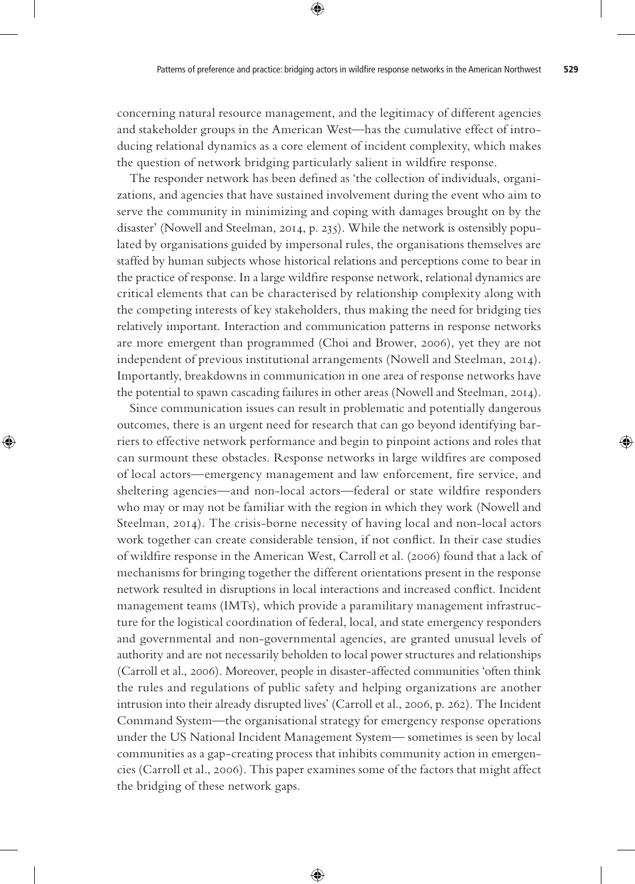concerning natural resource management, and the legitimacy of different agencies and stakeholder groups in the American West—has the cumulative effect of introducing relational dynamics as a core element of incident complexity, which makes the question of network bridging particularly salient in wildfire response.

The responder network has been defined as 'the collection of individuals, organizations, and agencies that have sustained involvement during the event who aim to serve the community in minimizing and coping with damages brought on by the disaster' (Nowell and Steelman, 2014, p. 235). While the network is ostensibly populated by organisations guided by impersonal rules, the organisations themselves are staffed by human subjects whose historical relations and perceptions come to bear in the practice of response. In a large wildfire response network, relational dynamics are critical elements that can be characterised by relationship complexity along with the competing interests of key stakeholders, thus making the need for bridging ties relatively important. Interaction and communication patterns in response networks are more emergent than programmed (Choi and Brower, 2006), yet they are not independent of previous institutional arrangements (Nowell and Steelman, 2014). Importantly, breakdowns in communication in one area of response networks have the potential to spawn cascading failures in other areas (Nowell and Steelman, 2014).

Since communication issues can result in problematic and potentially dangerous outcomes, there is an urgent need for research that can go beyond identifying barriers to effective network performance and begin to pinpoint actions and roles that can surmount these obstacles. Response networks in large wildfires are composed of local actors—emergency management and law enforcement, fire service, and sheltering agencies—and non-local actors—federal or state wildfire responders who may or may not be familiar with the region in which they work (Nowell and Steelman, 2014). The crisis-borne necessity of having local and non-local actors work together can create considerable tension, if not conflict. In their case studies of wildfire response in the American West, Carroll et al. (2006) found that a lack of mechanisms for bringing together the different orientations present in the response network resulted in disruptions in local interactions and increased conflict. Incident management teams (IMTs), which provide a paramilitary management infrastructure for the logistical coordination of federal, local, and state emergency responders and governmental and non-governmental agencies, are granted unusual levels of authority and are not necessarily beholden to local power structures and relationships (Carroll et al., 2006). Moreover, people in disaster-affected communities 'often think the rules and regulations of public safety and helping organizations are another intrusion into their already disrupted lives' (Carroll et al., 2006, p. 262). The Incident Command System—the organisational strategy for emergency response operations under the US National Incident Management System— sometimes is seen by local communities as a gap-creating process that inhibits community action in emergencies (Carroll et al., 2006). This paper examines some of the factors that might affect the bridging of these network gaps.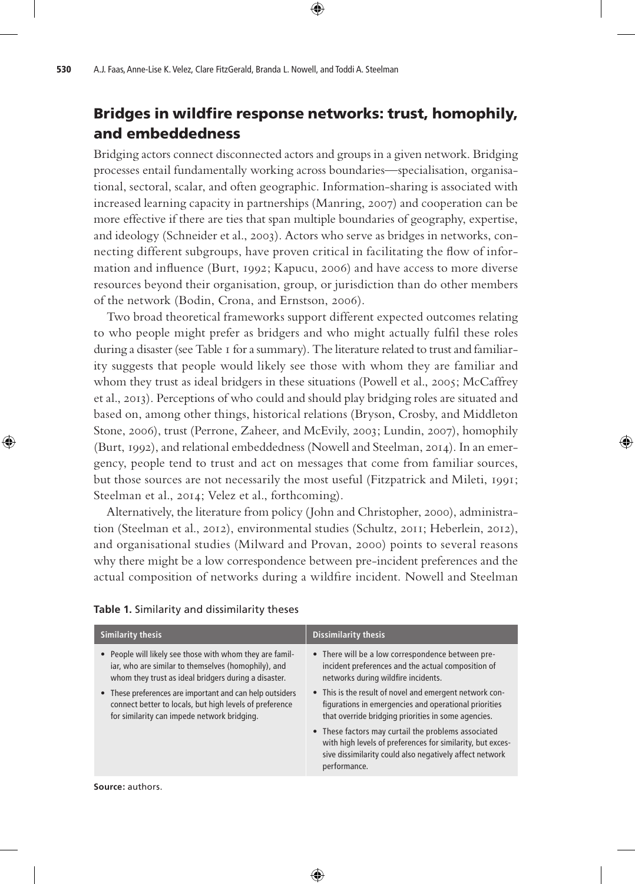# Bridges in wildfire response networks: trust, homophily, and embeddedness

Bridging actors connect disconnected actors and groups in a given network. Bridging processes entail fundamentally working across boundaries—specialisation, organisational, sectoral, scalar, and often geographic. Information-sharing is associated with increased learning capacity in partnerships (Manring, 2007) and cooperation can be more effective if there are ties that span multiple boundaries of geography, expertise, and ideology (Schneider et al., 2003). Actors who serve as bridges in networks, connecting different subgroups, have proven critical in facilitating the flow of information and influence (Burt, 1992; Kapucu, 2006) and have access to more diverse resources beyond their organisation, group, or jurisdiction than do other members of the network (Bodin, Crona, and Ernstson, 2006).

Two broad theoretical frameworks support different expected outcomes relating to who people might prefer as bridgers and who might actually fulfil these roles during a disaster (see Table 1 for a summary). The literature related to trust and familiarity suggests that people would likely see those with whom they are familiar and whom they trust as ideal bridgers in these situations (Powell et al., 2005; McCaffrey et al., 2013). Perceptions of who could and should play bridging roles are situated and based on, among other things, historical relations (Bryson, Crosby, and Middleton Stone, 2006), trust (Perrone, Zaheer, and McEvily, 2003; Lundin, 2007), homophily (Burt, 1992), and relational embeddedness (Nowell and Steelman, 2014). In an emergency, people tend to trust and act on messages that come from familiar sources, but those sources are not necessarily the most useful (Fitzpatrick and Mileti, 1991; Steelman et al., 2014; Velez et al., forthcoming).

Alternatively, the literature from policy (John and Christopher, 2000), administration (Steelman et al., 2012), environmental studies (Schultz, 2011; Heberlein, 2012), and organisational studies (Milward and Provan, 2000) points to several reasons why there might be a low correspondence between pre-incident preferences and the actual composition of networks during a wildfire incident. Nowell and Steelman

| <b>Similarity thesis</b>                                 | <b>Dissimilarity thesis</b>                                                                                                                                                                  |  |
|----------------------------------------------------------|----------------------------------------------------------------------------------------------------------------------------------------------------------------------------------------------|--|
| • People will likely see those with whom they are famil- | • There will be a low correspondence between pre-                                                                                                                                            |  |
| iar, who are similar to themselves (homophily), and      | incident preferences and the actual composition of                                                                                                                                           |  |
| whom they trust as ideal bridgers during a disaster.     | networks during wildfire incidents.                                                                                                                                                          |  |
| • These preferences are important and can help outsiders | • This is the result of novel and emergent network con-                                                                                                                                      |  |
| connect better to locals, but high levels of preference  | figurations in emergencies and operational priorities                                                                                                                                        |  |
| for similarity can impede network bridging.              | that override bridging priorities in some agencies.                                                                                                                                          |  |
|                                                          | • These factors may curtail the problems associated<br>with high levels of preferences for similarity, but exces-<br>sive dissimilarity could also negatively affect network<br>performance. |  |

#### **Table 1.** Similarity and dissimilarity theses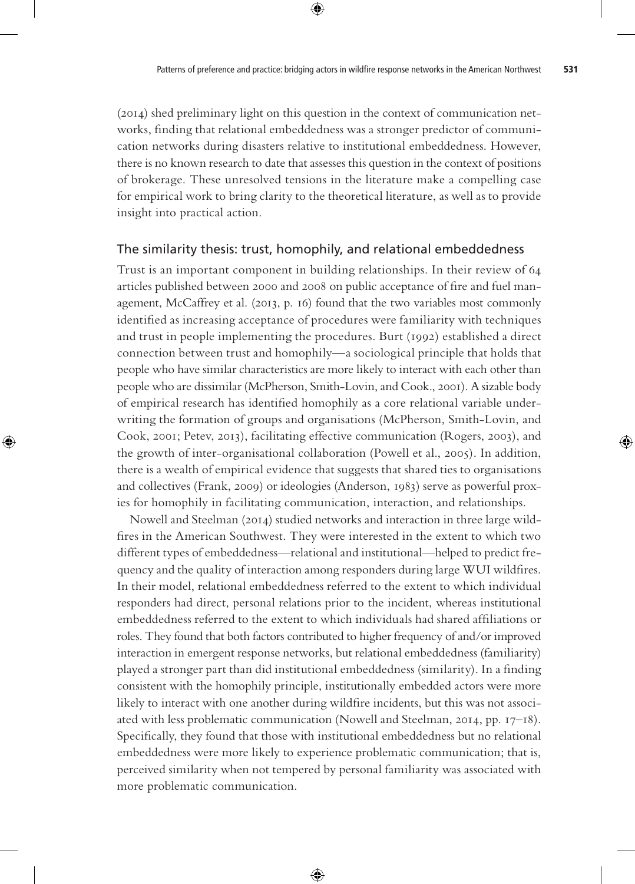(2014) shed preliminary light on this question in the context of communication networks, finding that relational embeddedness was a stronger predictor of communication networks during disasters relative to institutional embeddedness. However, there is no known research to date that assesses this question in the context of positions of brokerage. These unresolved tensions in the literature make a compelling case for empirical work to bring clarity to the theoretical literature, as well as to provide insight into practical action.

#### The similarity thesis: trust, homophily, and relational embeddedness

Trust is an important component in building relationships. In their review of 64 articles published between 2000 and 2008 on public acceptance of fire and fuel management, McCaffrey et al. (2013, p. 16) found that the two variables most commonly identified as increasing acceptance of procedures were familiarity with techniques and trust in people implementing the procedures. Burt (1992) established a direct connection between trust and homophily—a sociological principle that holds that people who have similar characteristics are more likely to interact with each other than people who are dissimilar (McPherson, Smith-Lovin, and Cook., 2001). A sizable body of empirical research has identified homophily as a core relational variable underwriting the formation of groups and organisations (McPherson, Smith-Lovin, and Cook, 2001; Petev, 2013), facilitating effective communication (Rogers, 2003), and the growth of inter-organisational collaboration (Powell et al., 2005). In addition, there is a wealth of empirical evidence that suggests that shared ties to organisations and collectives (Frank, 2009) or ideologies (Anderson, 1983) serve as powerful proxies for homophily in facilitating communication, interaction, and relationships.

Nowell and Steelman (2014) studied networks and interaction in three large wildfires in the American Southwest. They were interested in the extent to which two different types of embeddedness—relational and institutional—helped to predict frequency and the quality of interaction among responders during large WUI wildfires. In their model, relational embeddedness referred to the extent to which individual responders had direct, personal relations prior to the incident, whereas institutional embeddedness referred to the extent to which individuals had shared affiliations or roles. They found that both factors contributed to higher frequency of and/or improved interaction in emergent response networks, but relational embeddedness (familiarity) played a stronger part than did institutional embeddedness (similarity). In a finding consistent with the homophily principle, institutionally embedded actors were more likely to interact with one another during wildfire incidents, but this was not associated with less problematic communication (Nowell and Steelman, 2014, pp. 17–18). Specifically, they found that those with institutional embeddedness but no relational embeddedness were more likely to experience problematic communication; that is, perceived similarity when not tempered by personal familiarity was associated with more problematic communication.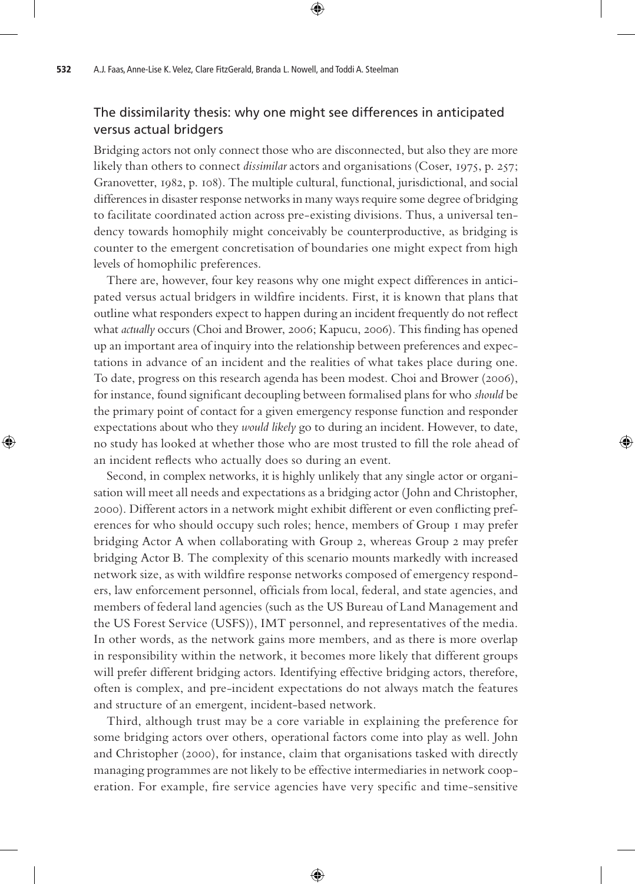## The dissimilarity thesis: why one might see differences in anticipated versus actual bridgers

Bridging actors not only connect those who are disconnected, but also they are more likely than others to connect *dissimilar* actors and organisations (Coser, 1975, p. 257; Granovetter, 1982, p. 108). The multiple cultural, functional, jurisdictional, and social differences in disaster response networks in many ways require some degree of bridging to facilitate coordinated action across pre-existing divisions. Thus, a universal tendency towards homophily might conceivably be counterproductive, as bridging is counter to the emergent concretisation of boundaries one might expect from high levels of homophilic preferences.

There are, however, four key reasons why one might expect differences in anticipated versus actual bridgers in wildfire incidents. First, it is known that plans that outline what responders expect to happen during an incident frequently do not reflect what *actually* occurs (Choi and Brower, 2006; Kapucu, 2006). This finding has opened up an important area of inquiry into the relationship between preferences and expectations in advance of an incident and the realities of what takes place during one. To date, progress on this research agenda has been modest. Choi and Brower (2006), for instance, found significant decoupling between formalised plans for who *should* be the primary point of contact for a given emergency response function and responder expectations about who they *would likely* go to during an incident. However, to date, no study has looked at whether those who are most trusted to fill the role ahead of an incident reflects who actually does so during an event.

Second, in complex networks, it is highly unlikely that any single actor or organisation will meet all needs and expectations as a bridging actor (John and Christopher, 2000). Different actors in a network might exhibit different or even conflicting preferences for who should occupy such roles; hence, members of Group 1 may prefer bridging Actor A when collaborating with Group 2, whereas Group 2 may prefer bridging Actor B. The complexity of this scenario mounts markedly with increased network size, as with wildfire response networks composed of emergency responders, law enforcement personnel, officials from local, federal, and state agencies, and members of federal land agencies (such as the US Bureau of Land Management and the US Forest Service (USFS)), IMT personnel, and representatives of the media. In other words, as the network gains more members, and as there is more overlap in responsibility within the network, it becomes more likely that different groups will prefer different bridging actors. Identifying effective bridging actors, therefore, often is complex, and pre-incident expectations do not always match the features and structure of an emergent, incident-based network.

Third, although trust may be a core variable in explaining the preference for some bridging actors over others, operational factors come into play as well. John and Christopher (2000), for instance, claim that organisations tasked with directly managing programmes are not likely to be effective intermediaries in network cooperation. For example, fire service agencies have very specific and time-sensitive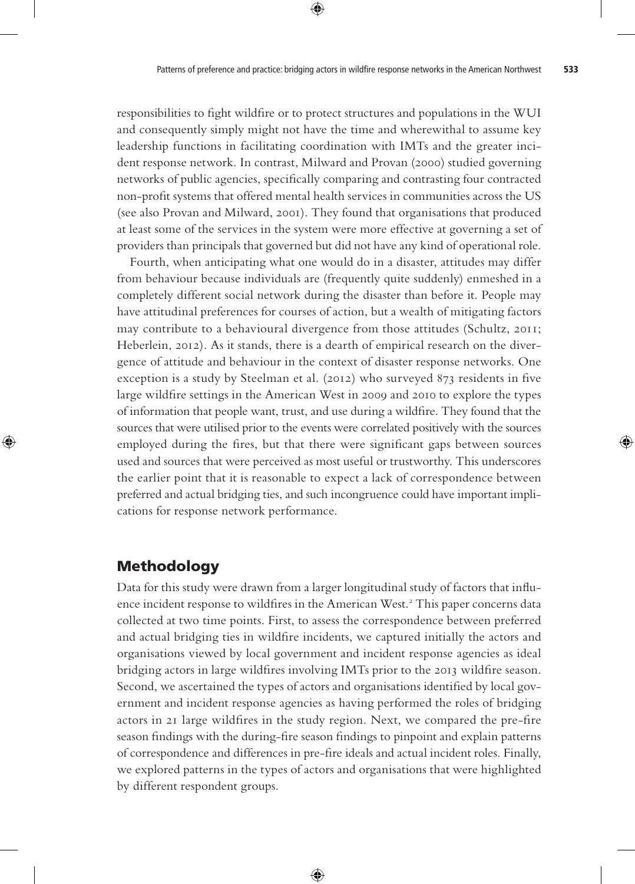responsibilities to fight wildfire or to protect structures and populations in the WUI and consequently simply might not have the time and wherewithal to assume key leadership functions in facilitating coordination with IMTs and the greater incident response network. In contrast, Milward and Provan (2000) studied governing networks of public agencies, specifically comparing and contrasting four contracted non-profit systems that offered mental health services in communities across the US (see also Provan and Milward, 2001). They found that organisations that produced at least some of the services in the system were more effective at governing a set of providers than principals that governed but did not have any kind of operational role.

Fourth, when anticipating what one would do in a disaster, attitudes may differ from behaviour because individuals are (frequently quite suddenly) enmeshed in a completely different social network during the disaster than before it. People may have attitudinal preferences for courses of action, but a wealth of mitigating factors may contribute to a behavioural divergence from those attitudes (Schultz, 2011; Heberlein, 2012). As it stands, there is a dearth of empirical research on the divergence of attitude and behaviour in the context of disaster response networks. One exception is a study by Steelman et al. (2012) who surveyed 873 residents in five large wildfire settings in the American West in 2009 and 2010 to explore the types of information that people want, trust, and use during a wildfire. They found that the sources that were utilised prior to the events were correlated positively with the sources employed during the fires, but that there were significant gaps between sources used and sources that were perceived as most useful or trustworthy. This underscores the earlier point that it is reasonable to expect a lack of correspondence between preferred and actual bridging ties, and such incongruence could have important implications for response network performance.

## **Methodology**

Data for this study were drawn from a larger longitudinal study of factors that influence incident response to wildfires in the American West.<sup>2</sup> This paper concerns data collected at two time points. First, to assess the correspondence between preferred and actual bridging ties in wildfire incidents, we captured initially the actors and organisations viewed by local government and incident response agencies as ideal bridging actors in large wildfires involving IMTs prior to the 2013 wildfire season. Second, we ascertained the types of actors and organisations identified by local government and incident response agencies as having performed the roles of bridging actors in 21 large wildfires in the study region. Next, we compared the pre-fire season findings with the during-fire season findings to pinpoint and explain patterns of correspondence and differences in pre-fire ideals and actual incident roles. Finally, we explored patterns in the types of actors and organisations that were highlighted by different respondent groups.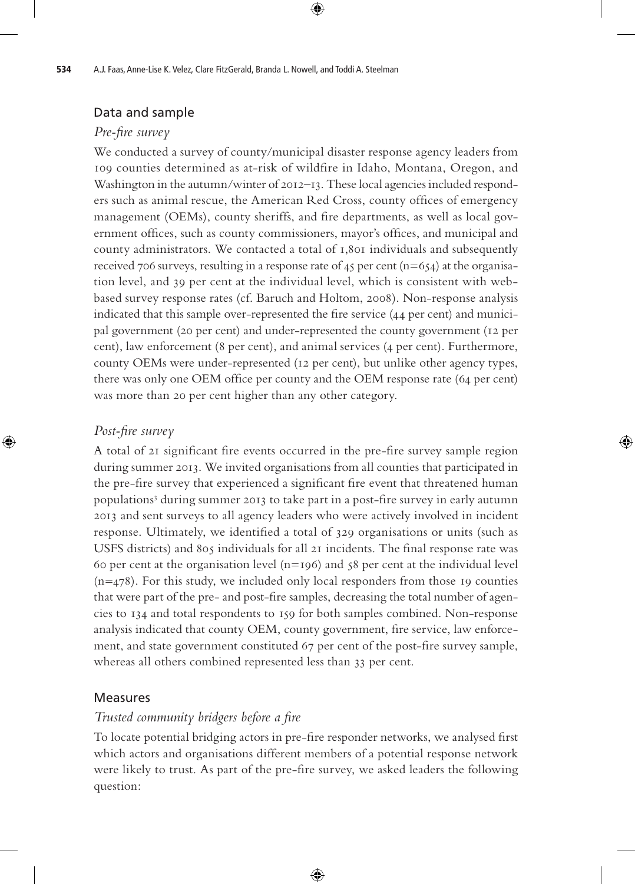#### Data and sample

#### *Pre-fire survey*

We conducted a survey of county/municipal disaster response agency leaders from 109 counties determined as at-risk of wildfire in Idaho, Montana, Oregon, and Washington in the autumn/winter of 2012–13. These local agencies included responders such as animal rescue, the American Red Cross, county offices of emergency management (OEMs), county sheriffs, and fire departments, as well as local government offices, such as county commissioners, mayor's offices, and municipal and county administrators. We contacted a total of 1,801 individuals and subsequently received 706 surveys, resulting in a response rate of 45 per cent ( $n=654$ ) at the organisation level, and 39 per cent at the individual level, which is consistent with webbased survey response rates (cf. Baruch and Holtom, 2008). Non-response analysis indicated that this sample over-represented the fire service (44 per cent) and municipal government (20 per cent) and under-represented the county government (12 per cent), law enforcement (8 per cent), and animal services (4 per cent). Furthermore, county OEMs were under-represented (12 per cent), but unlike other agency types, there was only one OEM office per county and the OEM response rate (64 per cent) was more than 20 per cent higher than any other category.

#### *Post-fire survey*

A total of 21 significant fire events occurred in the pre-fire survey sample region during summer 2013. We invited organisations from all counties that participated in the pre-fire survey that experienced a significant fire event that threatened human populations<sup>3</sup> during summer 2013 to take part in a post-fire survey in early autumn 2013 and sent surveys to all agency leaders who were actively involved in incident response. Ultimately, we identified a total of 329 organisations or units (such as USFS districts) and 805 individuals for all 21 incidents. The final response rate was 60 per cent at the organisation level  $(n=196)$  and 58 per cent at the individual level (n=478). For this study, we included only local responders from those 19 counties that were part of the pre- and post-fire samples, decreasing the total number of agencies to 134 and total respondents to 159 for both samples combined. Non-response analysis indicated that county OEM, county government, fire service, law enforcement, and state government constituted 67 per cent of the post-fire survey sample, whereas all others combined represented less than 33 per cent.

#### Measures

#### *Trusted community bridgers before a fire*

To locate potential bridging actors in pre-fire responder networks, we analysed first which actors and organisations different members of a potential response network were likely to trust. As part of the pre-fire survey, we asked leaders the following question: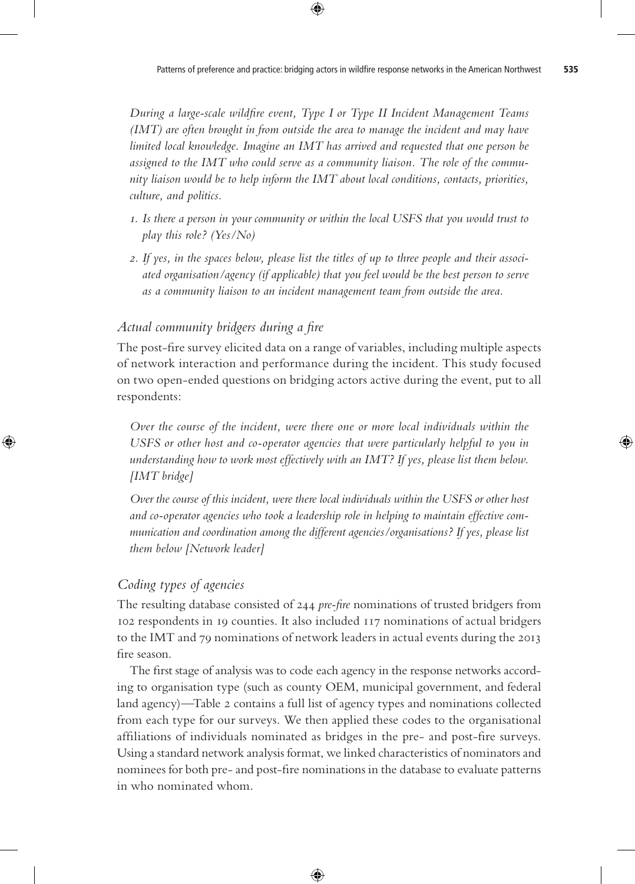*During a large-scale wildfire event, Type I or Type II Incident Management Teams (IMT) are often brought in from outside the area to manage the incident and may have limited local knowledge. Imagine an IMT has arrived and requested that one person be assigned to the IMT who could serve as a community liaison. The role of the community liaison would be to help inform the IMT about local conditions, contacts, priorities, culture, and politics.* 

- *1. Is there a person in your community or within the local USFS that you would trust to play this role? (Yes/No)*
- *2. If yes, in the spaces below, please list the titles of up to three people and their associated organisation/agency (if applicable) that you feel would be the best person to serve as a community liaison to an incident management team from outside the area.*

#### *Actual community bridgers during a fire*

The post-fire survey elicited data on a range of variables, including multiple aspects of network interaction and performance during the incident. This study focused on two open-ended questions on bridging actors active during the event, put to all respondents:

*Over the course of the incident, were there one or more local individuals within the USFS or other host and co-operator agencies that were particularly helpful to you in understanding how to work most effectively with an IMT? If yes, please list them below. [IMT bridge]*

*Over the course of this incident, were there local individuals within the USFS or other host and co-operator agencies who took a leadership role in helping to maintain effective communication and coordination among the different agencies/organisations? If yes, please list them below [Network leader]*

#### *Coding types of agencies*

The resulting database consisted of 244 *pre-fire* nominations of trusted bridgers from 102 respondents in 19 counties. It also included 117 nominations of actual bridgers to the IMT and 79 nominations of network leaders in actual events during the 2013 fire season.

The first stage of analysis was to code each agency in the response networks according to organisation type (such as county OEM, municipal government, and federal land agency)—Table 2 contains a full list of agency types and nominations collected from each type for our surveys. We then applied these codes to the organisational affiliations of individuals nominated as bridges in the pre- and post-fire surveys. Using a standard network analysis format, we linked characteristics of nominators and nominees for both pre- and post-fire nominations in the database to evaluate patterns in who nominated whom.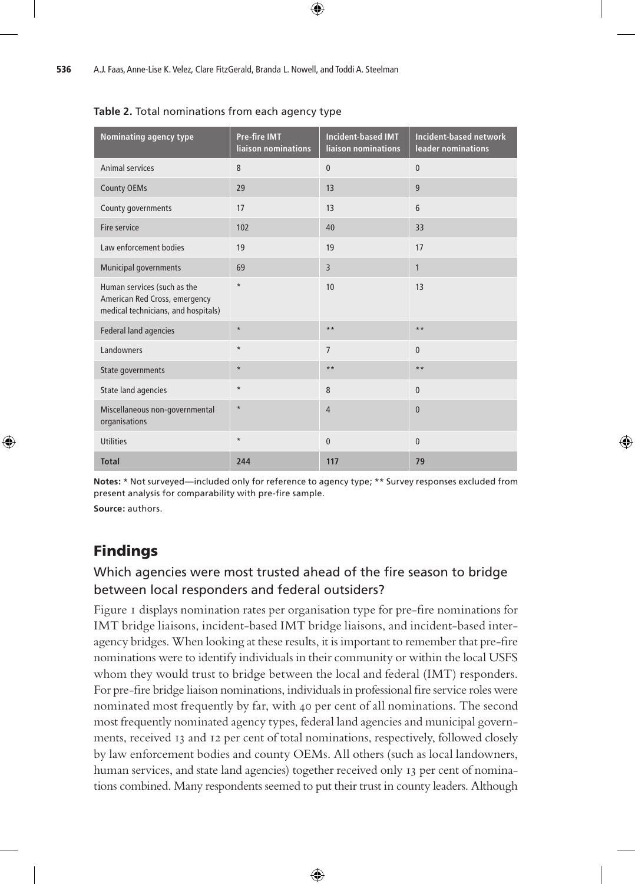| Nominating agency type                                                                              | <b>Pre-fire IMT</b><br>liaison nominations | <b>Incident-based IMT</b><br>liaison nominations | <b>Incident-based network</b><br>leader nominations |
|-----------------------------------------------------------------------------------------------------|--------------------------------------------|--------------------------------------------------|-----------------------------------------------------|
| Animal services                                                                                     | 8                                          | $\mathbf{0}$                                     | $\mathbf{0}$                                        |
| <b>County OEMs</b>                                                                                  | 29                                         | 13                                               | 9                                                   |
| County governments                                                                                  | 17                                         | 13                                               | 6                                                   |
| Fire service                                                                                        | 102                                        | 40                                               | 33                                                  |
| Law enforcement bodies                                                                              | 19                                         | 19                                               | 17                                                  |
| <b>Municipal governments</b>                                                                        | 69                                         | $\overline{3}$                                   | $\mathbf{1}$                                        |
| Human services (such as the<br>American Red Cross, emergency<br>medical technicians, and hospitals) | $\star$                                    | 10                                               | 13                                                  |
| Federal land agencies                                                                               | $\star$                                    | $**$                                             | $* *$                                               |
| Landowners                                                                                          | $\star$                                    | $\overline{7}$                                   | $\mathbf{0}$                                        |
| State governments                                                                                   | $\star$                                    | $**$                                             | $**$                                                |
| State land agencies                                                                                 | $\star$                                    | 8                                                | $\mathbf{0}$                                        |
| Miscellaneous non-governmental<br>organisations                                                     | $\star$                                    | $\overline{4}$                                   | $\mathbf{0}$                                        |
| <b>Utilities</b>                                                                                    | $\star$                                    | $\mathbf{0}$                                     | $\mathbf{0}$                                        |
| <b>Total</b>                                                                                        | 244                                        | 117                                              | 79                                                  |

**Table 2.** Total nominations from each agency type

**Notes:** \* Not surveyed—included only for reference to agency type; \*\* Survey responses excluded from present analysis for comparability with pre-fire sample.

**Source:** authors.

## Findings

## Which agencies were most trusted ahead of the fire season to bridge between local responders and federal outsiders?

Figure 1 displays nomination rates per organisation type for pre-fire nominations for IMT bridge liaisons, incident-based IMT bridge liaisons, and incident-based interagency bridges. When looking at these results, it is important to remember that pre-fire nominations were to identify individuals in their community or within the local USFS whom they would trust to bridge between the local and federal (IMT) responders. For pre-fire bridge liaison nominations, individuals in professional fire service roles were nominated most frequently by far, with 40 per cent of all nominations. The second most frequently nominated agency types, federal land agencies and municipal governments, received 13 and 12 per cent of total nominations, respectively, followed closely by law enforcement bodies and county OEMs. All others (such as local landowners, human services, and state land agencies) together received only 13 per cent of nominations combined. Many respondents seemed to put their trust in county leaders. Although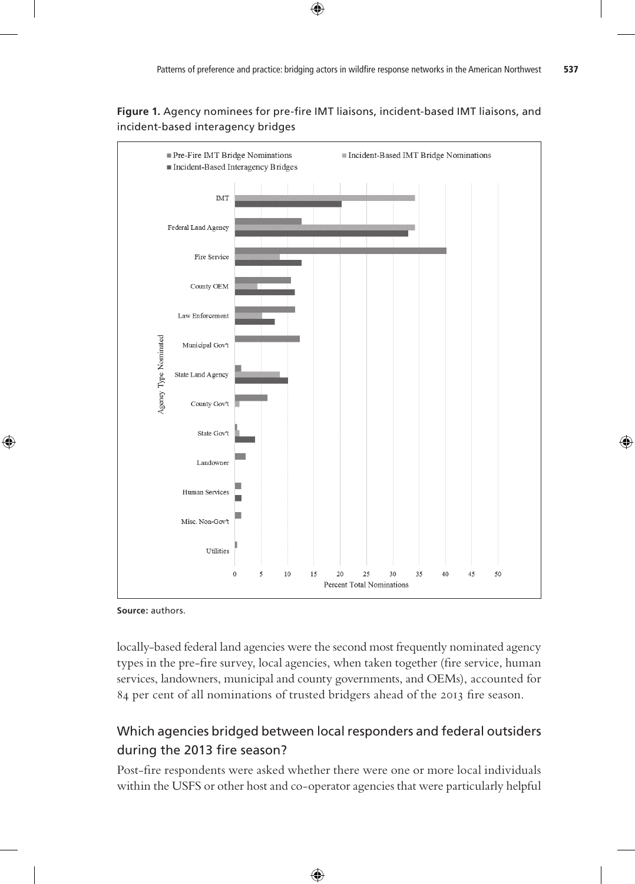





locally-based federal land agencies were the second most frequently nominated agency types in the pre-fire survey, local agencies, when taken together (fire service, human services, landowners, municipal and county governments, and OEMs), accounted for 84 per cent of all nominations of trusted bridgers ahead of the 2013 fire season.

## Which agencies bridged between local responders and federal outsiders during the 2013 fire season?

Post-fire respondents were asked whether there were one or more local individuals within the USFS or other host and co-operator agencies that were particularly helpful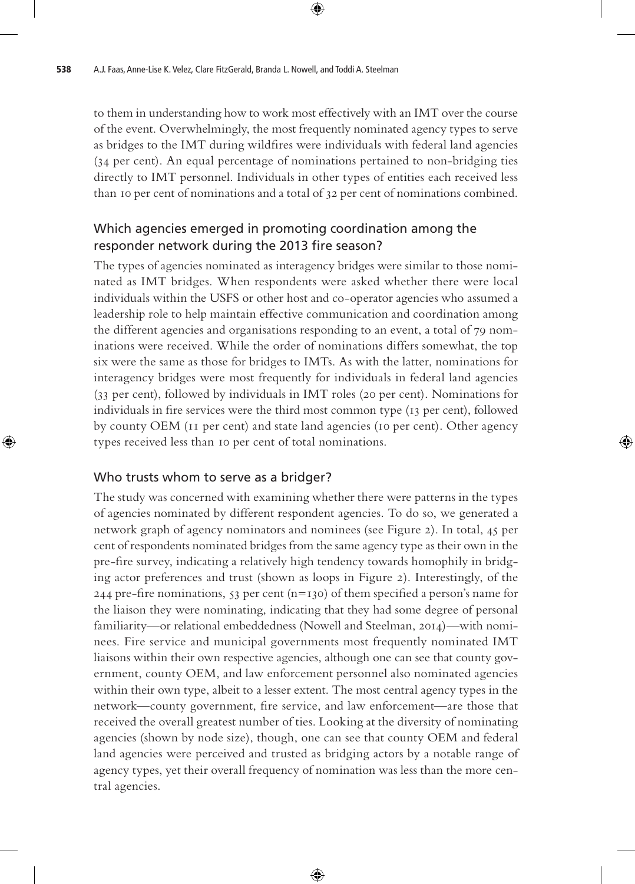to them in understanding how to work most effectively with an IMT over the course of the event. Overwhelmingly, the most frequently nominated agency types to serve as bridges to the IMT during wildfires were individuals with federal land agencies (34 per cent). An equal percentage of nominations pertained to non-bridging ties directly to IMT personnel. Individuals in other types of entities each received less than 10 per cent of nominations and a total of 32 per cent of nominations combined.

## Which agencies emerged in promoting coordination among the responder network during the 2013 fire season?

The types of agencies nominated as interagency bridges were similar to those nominated as IMT bridges. When respondents were asked whether there were local individuals within the USFS or other host and co-operator agencies who assumed a leadership role to help maintain effective communication and coordination among the different agencies and organisations responding to an event, a total of 79 nominations were received. While the order of nominations differs somewhat, the top six were the same as those for bridges to IMTs. As with the latter, nominations for interagency bridges were most frequently for individuals in federal land agencies (33 per cent), followed by individuals in IMT roles (20 per cent). Nominations for individuals in fire services were the third most common type (13 per cent), followed by county OEM (11 per cent) and state land agencies (10 per cent). Other agency types received less than 10 per cent of total nominations.

#### Who trusts whom to serve as a bridger?

The study was concerned with examining whether there were patterns in the types of agencies nominated by different respondent agencies. To do so, we generated a network graph of agency nominators and nominees (see Figure 2). In total, 45 per cent of respondents nominated bridges from the same agency type as their own in the pre-fire survey, indicating a relatively high tendency towards homophily in bridging actor preferences and trust (shown as loops in Figure 2). Interestingly, of the 244 pre-fire nominations, 53 per cent (n=130) of them specified a person's name for the liaison they were nominating, indicating that they had some degree of personal familiarity—or relational embeddedness (Nowell and Steelman, 2014)—with nominees. Fire service and municipal governments most frequently nominated IMT liaisons within their own respective agencies, although one can see that county government, county OEM, and law enforcement personnel also nominated agencies within their own type, albeit to a lesser extent. The most central agency types in the network—county government, fire service, and law enforcement—are those that received the overall greatest number of ties. Looking at the diversity of nominating agencies (shown by node size), though, one can see that county OEM and federal land agencies were perceived and trusted as bridging actors by a notable range of agency types, yet their overall frequency of nomination was less than the more central agencies.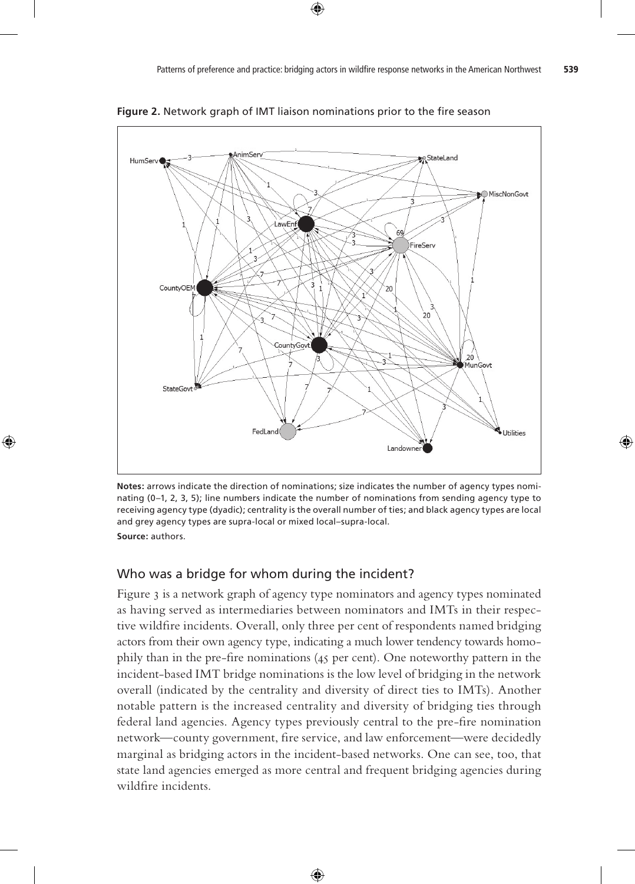

**Figure 2.** Network graph of IMT liaison nominations prior to the fire season

**Notes:** arrows indicate the direction of nominations; size indicates the number of agency types nominating (0–1, 2, 3, 5); line numbers indicate the number of nominations from sending agency type to receiving agency type (dyadic); centrality is the overall number of ties; and black agency types are local and grey agency types are supra-local or mixed local–supra-local. **Source:** authors.

#### Who was a bridge for whom during the incident?

Figure 3 is a network graph of agency type nominators and agency types nominated as having served as intermediaries between nominators and IMTs in their respective wildfire incidents. Overall, only three per cent of respondents named bridging actors from their own agency type, indicating a much lower tendency towards homophily than in the pre-fire nominations (45 per cent). One noteworthy pattern in the incident-based IMT bridge nominations is the low level of bridging in the network overall (indicated by the centrality and diversity of direct ties to IMTs). Another notable pattern is the increased centrality and diversity of bridging ties through federal land agencies. Agency types previously central to the pre-fire nomination network—county government, fire service, and law enforcement—were decidedly marginal as bridging actors in the incident-based networks. One can see, too, that state land agencies emerged as more central and frequent bridging agencies during wildfire incidents.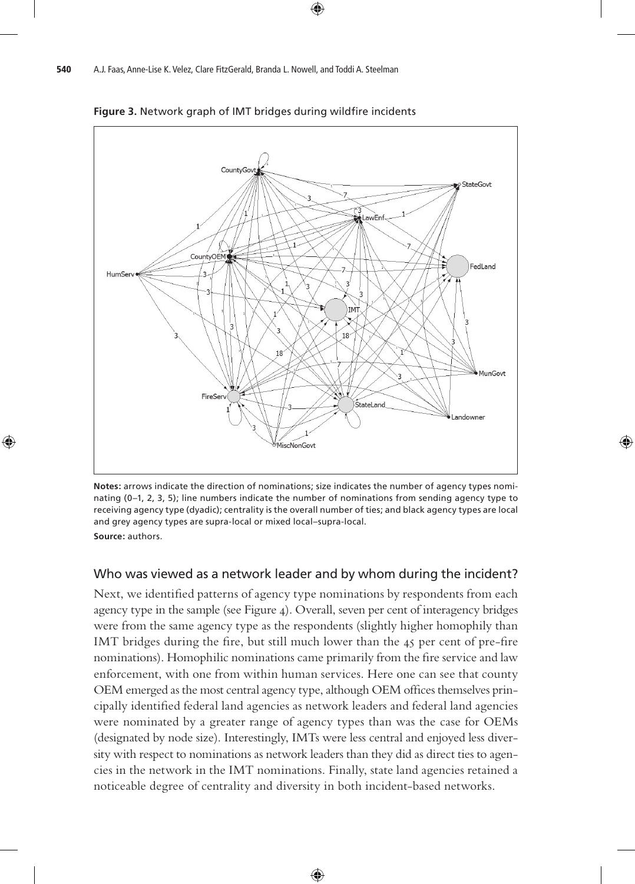

**Figure 3.** Network graph of IMT bridges during wildfire incidents

**Notes:** arrows indicate the direction of nominations; size indicates the number of agency types nominating (0–1, 2, 3, 5); line numbers indicate the number of nominations from sending agency type to receiving agency type (dyadic); centrality is the overall number of ties; and black agency types are local and grey agency types are supra-local or mixed local–supra-local. **Source:** authors.

#### Who was viewed as a network leader and by whom during the incident?

Next, we identified patterns of agency type nominations by respondents from each agency type in the sample (see Figure 4). Overall, seven per cent of interagency bridges were from the same agency type as the respondents (slightly higher homophily than IMT bridges during the fire, but still much lower than the 45 per cent of pre-fire nominations). Homophilic nominations came primarily from the fire service and law enforcement, with one from within human services. Here one can see that county OEM emerged as the most central agency type, although OEM offices themselves principally identified federal land agencies as network leaders and federal land agencies were nominated by a greater range of agency types than was the case for OEMs (designated by node size). Interestingly, IMTs were less central and enjoyed less diversity with respect to nominations as network leaders than they did as direct ties to agencies in the network in the IMT nominations. Finally, state land agencies retained a noticeable degree of centrality and diversity in both incident-based networks.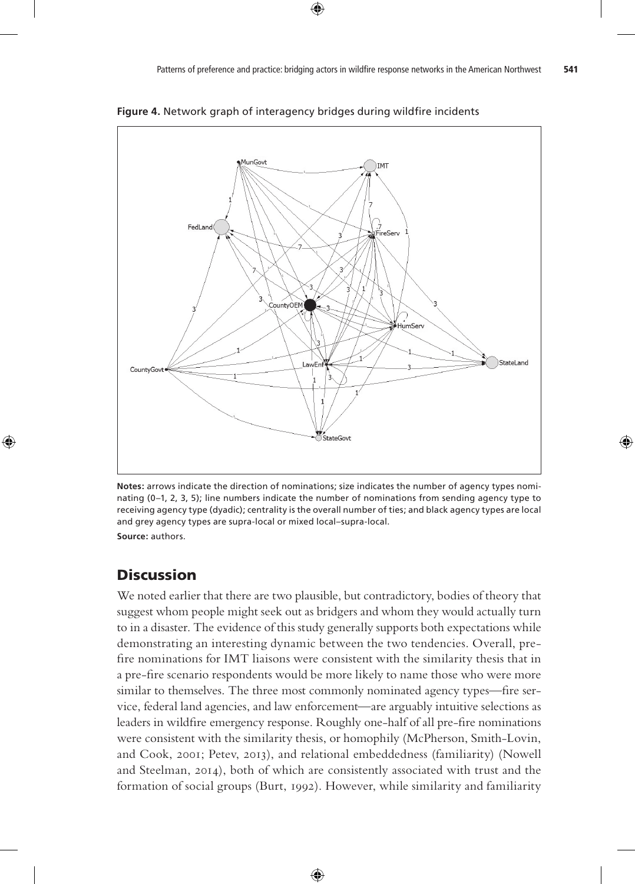

**Figure 4.** Network graph of interagency bridges during wildfire incidents

**Notes:** arrows indicate the direction of nominations; size indicates the number of agency types nominating (0–1, 2, 3, 5); line numbers indicate the number of nominations from sending agency type to receiving agency type (dyadic); centrality is the overall number of ties; and black agency types are local and grey agency types are supra-local or mixed local–supra-local. **Source:** authors.

## **Discussion**

We noted earlier that there are two plausible, but contradictory, bodies of theory that suggest whom people might seek out as bridgers and whom they would actually turn to in a disaster. The evidence of this study generally supports both expectations while demonstrating an interesting dynamic between the two tendencies. Overall, prefire nominations for IMT liaisons were consistent with the similarity thesis that in a pre-fire scenario respondents would be more likely to name those who were more similar to themselves. The three most commonly nominated agency types—fire service, federal land agencies, and law enforcement—are arguably intuitive selections as leaders in wildfire emergency response. Roughly one-half of all pre-fire nominations were consistent with the similarity thesis, or homophily (McPherson, Smith-Lovin, and Cook, 2001; Petev, 2013), and relational embeddedness (familiarity) (Nowell and Steelman, 2014), both of which are consistently associated with trust and the formation of social groups (Burt, 1992). However, while similarity and familiarity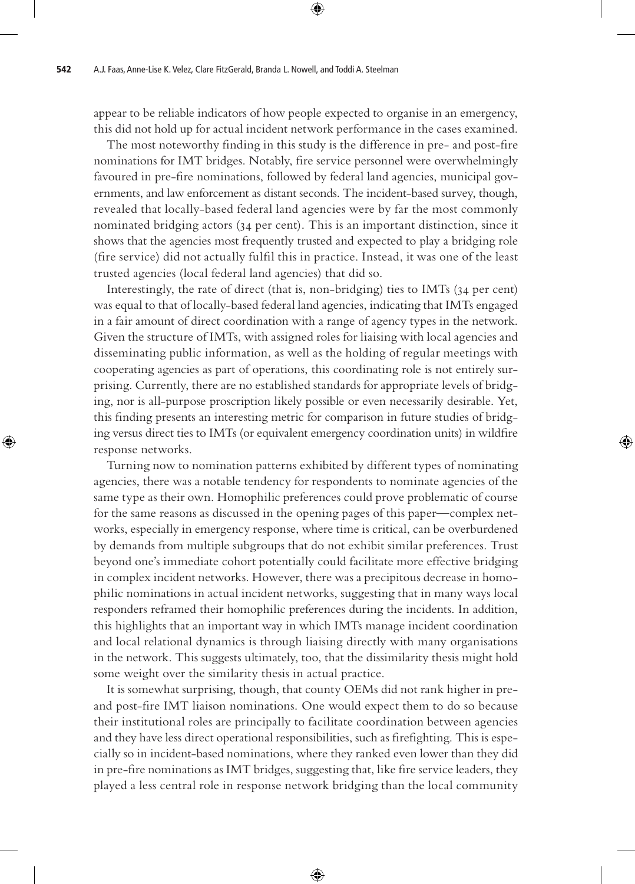appear to be reliable indicators of how people expected to organise in an emergency, this did not hold up for actual incident network performance in the cases examined.

The most noteworthy finding in this study is the difference in pre- and post-fire nominations for IMT bridges. Notably, fire service personnel were overwhelmingly favoured in pre-fire nominations, followed by federal land agencies, municipal governments, and law enforcement as distant seconds. The incident-based survey, though, revealed that locally-based federal land agencies were by far the most commonly nominated bridging actors (34 per cent). This is an important distinction, since it shows that the agencies most frequently trusted and expected to play a bridging role (fire service) did not actually fulfil this in practice. Instead, it was one of the least trusted agencies (local federal land agencies) that did so.

Interestingly, the rate of direct (that is, non-bridging) ties to IMTs (34 per cent) was equal to that of locally-based federal land agencies, indicating that IMTs engaged in a fair amount of direct coordination with a range of agency types in the network. Given the structure of IMTs, with assigned roles for liaising with local agencies and disseminating public information, as well as the holding of regular meetings with cooperating agencies as part of operations, this coordinating role is not entirely surprising. Currently, there are no established standards for appropriate levels of bridging, nor is all-purpose proscription likely possible or even necessarily desirable. Yet, this finding presents an interesting metric for comparison in future studies of bridging versus direct ties to IMTs (or equivalent emergency coordination units) in wildfire response networks.

Turning now to nomination patterns exhibited by different types of nominating agencies, there was a notable tendency for respondents to nominate agencies of the same type as their own. Homophilic preferences could prove problematic of course for the same reasons as discussed in the opening pages of this paper—complex networks, especially in emergency response, where time is critical, can be overburdened by demands from multiple subgroups that do not exhibit similar preferences. Trust beyond one's immediate cohort potentially could facilitate more effective bridging in complex incident networks. However, there was a precipitous decrease in homophilic nominations in actual incident networks, suggesting that in many ways local responders reframed their homophilic preferences during the incidents. In addition, this highlights that an important way in which IMTs manage incident coordination and local relational dynamics is through liaising directly with many organisations in the network. This suggests ultimately, too, that the dissimilarity thesis might hold some weight over the similarity thesis in actual practice.

It is somewhat surprising, though, that county OEMs did not rank higher in preand post-fire IMT liaison nominations. One would expect them to do so because their institutional roles are principally to facilitate coordination between agencies and they have less direct operational responsibilities, such as firefighting. This is especially so in incident-based nominations, where they ranked even lower than they did in pre-fire nominations as IMT bridges, suggesting that, like fire service leaders, they played a less central role in response network bridging than the local community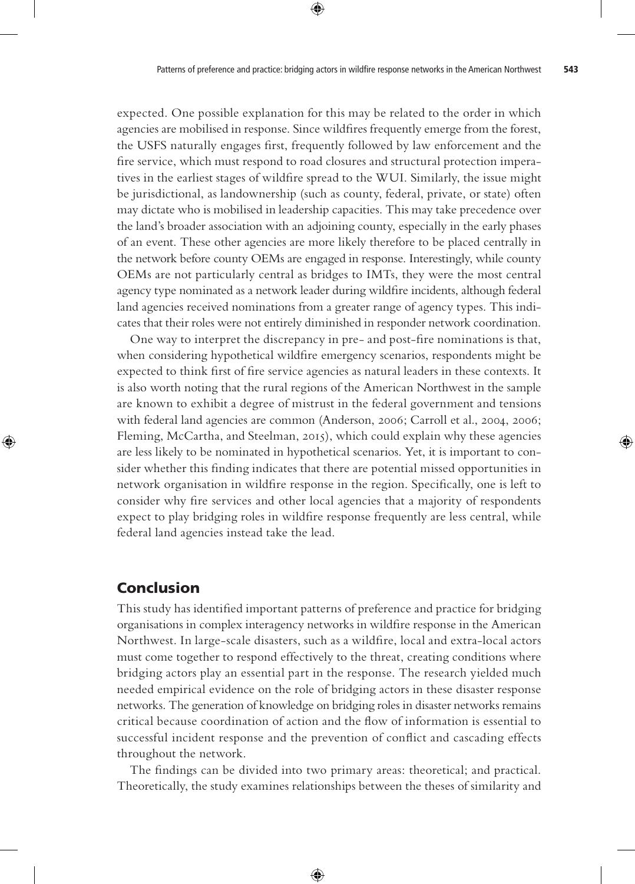expected. One possible explanation for this may be related to the order in which agencies are mobilised in response. Since wildfires frequently emerge from the forest, the USFS naturally engages first, frequently followed by law enforcement and the fire service, which must respond to road closures and structural protection imperatives in the earliest stages of wildfire spread to the WUI. Similarly, the issue might be jurisdictional, as landownership (such as county, federal, private, or state) often may dictate who is mobilised in leadership capacities. This may take precedence over the land's broader association with an adjoining county, especially in the early phases of an event. These other agencies are more likely therefore to be placed centrally in the network before county OEMs are engaged in response. Interestingly, while county OEMs are not particularly central as bridges to IMTs, they were the most central agency type nominated as a network leader during wildfire incidents, although federal land agencies received nominations from a greater range of agency types. This indicates that their roles were not entirely diminished in responder network coordination.

One way to interpret the discrepancy in pre- and post-fire nominations is that, when considering hypothetical wildfire emergency scenarios, respondents might be expected to think first of fire service agencies as natural leaders in these contexts. It is also worth noting that the rural regions of the American Northwest in the sample are known to exhibit a degree of mistrust in the federal government and tensions with federal land agencies are common (Anderson, 2006; Carroll et al., 2004, 2006; Fleming, McCartha, and Steelman, 2015), which could explain why these agencies are less likely to be nominated in hypothetical scenarios. Yet, it is important to consider whether this finding indicates that there are potential missed opportunities in network organisation in wildfire response in the region. Specifically, one is left to consider why fire services and other local agencies that a majority of respondents expect to play bridging roles in wildfire response frequently are less central, while federal land agencies instead take the lead.

#### Conclusion

This study has identified important patterns of preference and practice for bridging organisations in complex interagency networks in wildfire response in the American Northwest. In large-scale disasters, such as a wildfire, local and extra-local actors must come together to respond effectively to the threat, creating conditions where bridging actors play an essential part in the response. The research yielded much needed empirical evidence on the role of bridging actors in these disaster response networks. The generation of knowledge on bridging roles in disaster networks remains critical because coordination of action and the flow of information is essential to successful incident response and the prevention of conflict and cascading effects throughout the network.

The findings can be divided into two primary areas: theoretical; and practical. Theoretically, the study examines relationships between the theses of similarity and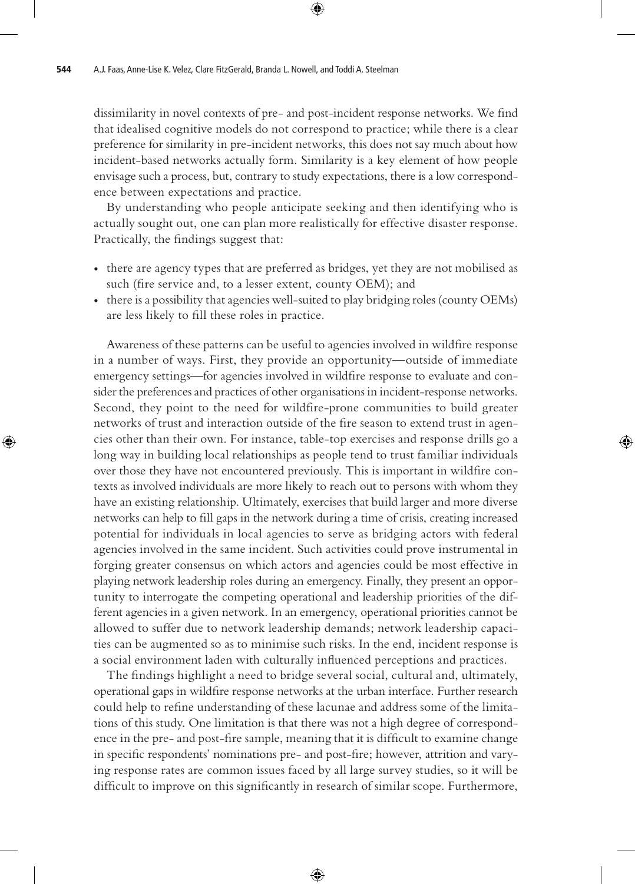dissimilarity in novel contexts of pre- and post-incident response networks. We find that idealised cognitive models do not correspond to practice; while there is a clear preference for similarity in pre-incident networks, this does not say much about how incident-based networks actually form. Similarity is a key element of how people envisage such a process, but, contrary to study expectations, there is a low correspondence between expectations and practice.

By understanding who people anticipate seeking and then identifying who is actually sought out, one can plan more realistically for effective disaster response. Practically, the findings suggest that:

- there are agency types that are preferred as bridges, yet they are not mobilised as such (fire service and, to a lesser extent, county OEM); and
- there is a possibility that agencies well-suited to play bridging roles (county OEMs) are less likely to fill these roles in practice.

Awareness of these patterns can be useful to agencies involved in wildfire response in a number of ways. First, they provide an opportunity—outside of immediate emergency settings—for agencies involved in wildfire response to evaluate and consider the preferences and practices of other organisations in incident-response networks. Second, they point to the need for wildfire-prone communities to build greater networks of trust and interaction outside of the fire season to extend trust in agencies other than their own. For instance, table-top exercises and response drills go a long way in building local relationships as people tend to trust familiar individuals over those they have not encountered previously. This is important in wildfire contexts as involved individuals are more likely to reach out to persons with whom they have an existing relationship. Ultimately, exercises that build larger and more diverse networks can help to fill gaps in the network during a time of crisis, creating increased potential for individuals in local agencies to serve as bridging actors with federal agencies involved in the same incident. Such activities could prove instrumental in forging greater consensus on which actors and agencies could be most effective in playing network leadership roles during an emergency. Finally, they present an opportunity to interrogate the competing operational and leadership priorities of the different agencies in a given network. In an emergency, operational priorities cannot be allowed to suffer due to network leadership demands; network leadership capacities can be augmented so as to minimise such risks. In the end, incident response is a social environment laden with culturally influenced perceptions and practices.

The findings highlight a need to bridge several social, cultural and, ultimately, operational gaps in wildfire response networks at the urban interface. Further research could help to refine understanding of these lacunae and address some of the limitations of this study. One limitation is that there was not a high degree of correspondence in the pre- and post-fire sample, meaning that it is difficult to examine change in specific respondents' nominations pre- and post-fire; however, attrition and varying response rates are common issues faced by all large survey studies, so it will be difficult to improve on this significantly in research of similar scope. Furthermore,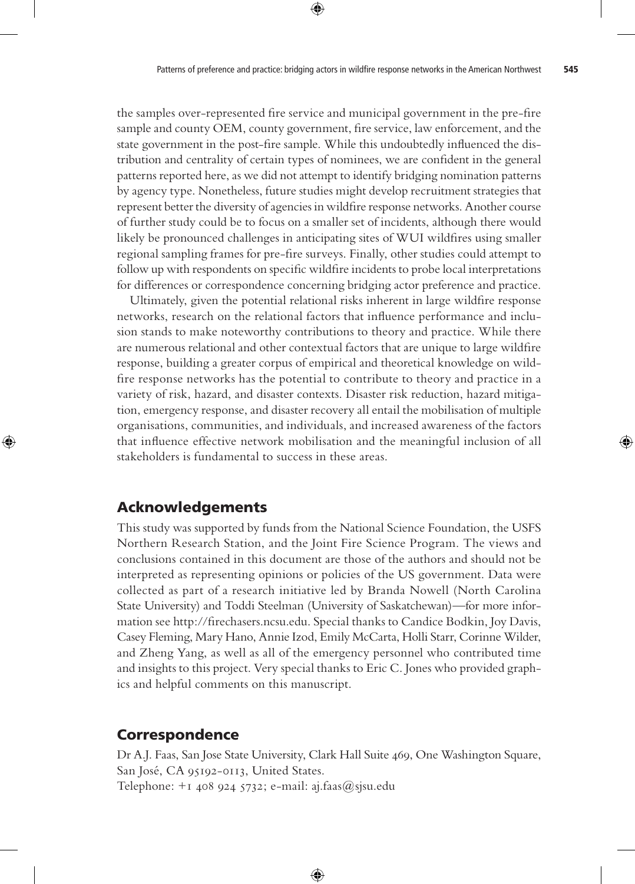the samples over-represented fire service and municipal government in the pre-fire sample and county OEM, county government, fire service, law enforcement, and the state government in the post-fire sample. While this undoubtedly influenced the distribution and centrality of certain types of nominees, we are confident in the general patterns reported here, as we did not attempt to identify bridging nomination patterns by agency type. Nonetheless, future studies might develop recruitment strategies that represent better the diversity of agencies in wildfire response networks. Another course of further study could be to focus on a smaller set of incidents, although there would likely be pronounced challenges in anticipating sites of WUI wildfires using smaller regional sampling frames for pre-fire surveys. Finally, other studies could attempt to follow up with respondents on specific wildfire incidents to probe local interpretations for differences or correspondence concerning bridging actor preference and practice.

Ultimately, given the potential relational risks inherent in large wildfire response networks, research on the relational factors that influence performance and inclusion stands to make noteworthy contributions to theory and practice. While there are numerous relational and other contextual factors that are unique to large wildfire response, building a greater corpus of empirical and theoretical knowledge on wildfire response networks has the potential to contribute to theory and practice in a variety of risk, hazard, and disaster contexts. Disaster risk reduction, hazard mitigation, emergency response, and disaster recovery all entail the mobilisation of multiple organisations, communities, and individuals, and increased awareness of the factors that influence effective network mobilisation and the meaningful inclusion of all stakeholders is fundamental to success in these areas.

## Acknowledgements

This study was supported by funds from the National Science Foundation, the USFS Northern Research Station, and the Joint Fire Science Program. The views and conclusions contained in this document are those of the authors and should not be interpreted as representing opinions or policies of the US government. Data were collected as part of a research initiative led by Branda Nowell (North Carolina State University) and Toddi Steelman (University of Saskatchewan)—for more information see http://firechasers.ncsu.edu. Special thanks to Candice Bodkin, Joy Davis, Casey Fleming, Mary Hano, Annie Izod, Emily McCarta, Holli Starr, Corinne Wilder, and Zheng Yang, as well as all of the emergency personnel who contributed time and insights to this project. Very special thanks to Eric C. Jones who provided graphics and helpful comments on this manuscript.

## Correspondence

Dr A.J. Faas, San Jose State University, Clark Hall Suite 469, One Washington Square, San José, CA 95192-0113, United States. Telephone:  $+1$  408 924 5732; e-mail: aj.faas@sjsu.edu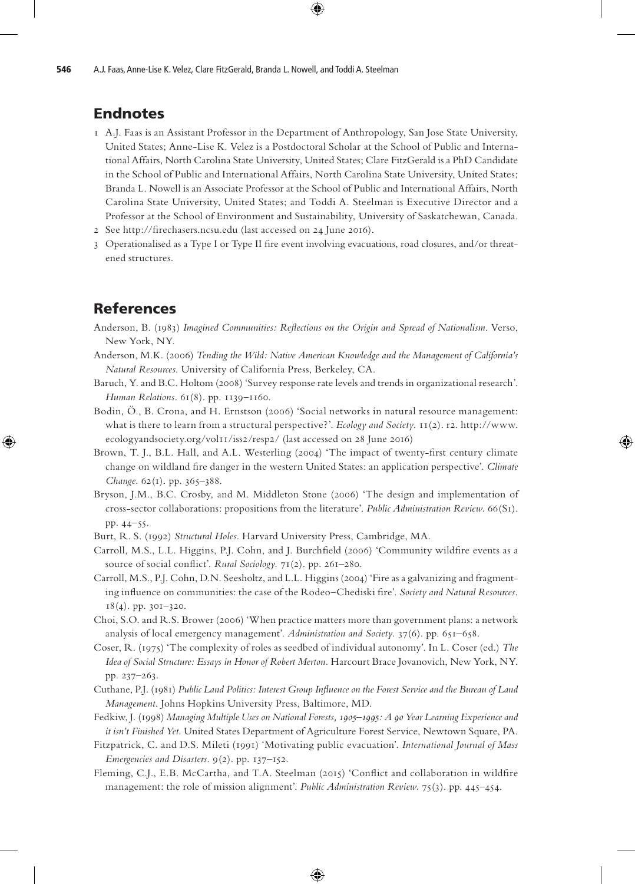#### Endnotes

- 1 A.J. Faas is an Assistant Professor in the Department of Anthropology, San Jose State University, United States; Anne-Lise K. Velez is a Postdoctoral Scholar at the School of Public and International Affairs, North Carolina State University, United States; Clare FitzGerald is a PhD Candidate in the School of Public and International Affairs, North Carolina State University, United States; Branda L. Nowell is an Associate Professor at the School of Public and International Affairs, North Carolina State University, United States; and Toddi A. Steelman is Executive Director and a Professor at the School of Environment and Sustainability, University of Saskatchewan, Canada.
- 2 See http://firechasers.ncsu.edu (last accessed on 24 June 2016).
- 3 Operationalised as a Type I or Type II fire event involving evacuations, road closures, and/or threatened structures.

## References

- Anderson, B. (1983) *Imagined Communities: Reflections on the Origin and Spread of Nationalism*. Verso, New York, NY.
- Anderson, M.K. (2006) *Tending the Wild: Native American Knowledge and the Management of California's Natural Resources*. University of California Press, Berkeley, CA.
- Baruch, Y. and B.C. Holtom (2008) 'Survey response rate levels and trends in organizational research'. *Human Relations.* 61(8). pp. 1139–1160.
- Bodin, Ö., B. Crona, and H. Ernstson (2006) 'Social networks in natural resource management: what is there to learn from a structural perspective?'. *Ecology and Society.* 11(2). r2. http://www. ecologyandsociety.org/vol11/iss2/resp2/ (last accessed on 28 June 2016)
- Brown, T. J., B.L. Hall, and A.L. Westerling (2004) 'The impact of twenty-first century climate change on wildland fire danger in the western United States: an application perspective'. *Climate Change.* 62(1). pp. 365-388.
- Bryson, J.M., B.C. Crosby, and M. Middleton Stone (2006) 'The design and implementation of cross-sector collaborations: propositions from the literature'. *Public Administration Review.* 66(S1). pp. 44–55.
- Burt, R. S. (1992) *Structural Holes*. Harvard University Press, Cambridge, MA.
- Carroll, M.S., L.L. Higgins, P.J. Cohn, and J. Burchfield (2006) 'Community wildfire events as a source of social conflict'. *Rural Sociology.* 71(2). pp. 261–280.
- Carroll, M.S., P.J. Cohn, D.N. Seesholtz, and L.L. Higgins (2004) 'Fire as a galvanizing and fragmenting influence on communities: the case of the Rodeo–Chediski fire'. *Society and Natural Resources.* 18(4). pp. 301–320.
- Choi, S.O. and R.S. Brower (2006) 'When practice matters more than government plans: a network analysis of local emergency management'. *Administration and Society.* 37(6). pp. 651–658.
- Coser, R. (1975) 'The complexity of roles as seedbed of individual autonomy'. In L. Coser (ed.) *The*  Idea of Social Structure: Essays in Honor of Robert Merton. Harcourt Brace Jovanovich, New York, NY. pp. 237–263.
- Cuthane, P.J. (1981) *Public Land Politics: Interest Group Influence on the Forest Service and the Bureau of Land Management*. Johns Hopkins University Press, Baltimore, MD.
- Fedkiw, J. (1998) *Managing Multiple Uses on National Forests, 1905–1995: A 90 Year Learning Experience and it isn't Finished Yet*. United States Department of Agriculture Forest Service, Newtown Square, PA.
- Fitzpatrick, C. and D.S. Mileti (1991) 'Motivating public evacuation'. *International Journal of Mass Emergencies and Disasters.* 9(2). pp. 137–152.
- Fleming, C.J., E.B. McCartha, and T.A. Steelman (2015) 'Conflict and collaboration in wildfire management: the role of mission alignment'. *Public Administration Review.* 75(3). pp. 445–454.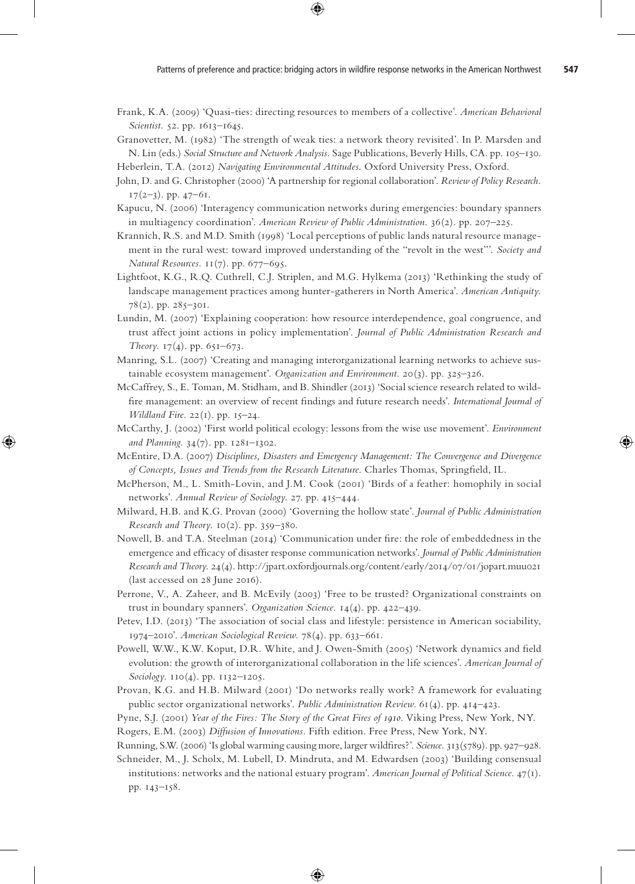- Frank, K.A. (2009) 'Quasi-ties: directing resources to members of a collective'. *American Behavioral Scientist.* 52. pp. 1613–1645.
- Granovetter, M. (1982) 'The strength of weak ties: a network theory revisited'. In P. Marsden and N. Lin (eds.) *Social Structure and Network Analysis.* Sage Publications, Beverly Hills, CA. pp. 105–130.
- Heberlein, T.A. (2012) *Navigating Environmental Attitudes*. Oxford University Press, Oxford.
- John, D. and G. Christopher (2000) 'A partnership for regional collaboration'. *Review of Policy Research.*  $17(2-3)$ . pp.  $47-61$ .
- Kapucu, N. (2006) 'Interagency communication networks during emergencies: boundary spanners in multiagency coordination'. *American Review of Public Administration.* 36(2). pp. 207–225.
- Krannich, R.S. and M.D. Smith (1998) 'Local perceptions of public lands natural resource management in the rural west: toward improved understanding of the "revolt in the west"'. *Society and Natural Resources.* 11(7). pp. 677–695.
- Lightfoot, K.G., R.Q. Cuthrell, C.J. Striplen, and M.G. Hylkema (2013) 'Rethinking the study of landscape management practices among hunter-gatherers in North America'. *American Antiquity.*  $78(2)$ . pp.  $285-301$ .
- Lundin, M. (2007) 'Explaining cooperation: how resource interdependence, goal congruence, and trust affect joint actions in policy implementation'. *Journal of Public Administration Research and Theory.*  $17(4)$ *, pp.*  $651-673$ *.*
- Manring, S.L. (2007) 'Creating and managing interorganizational learning networks to achieve sustainable ecosystem management'. *Organization and Environment.* 20(3). pp. 325–326.
- McCaffrey, S., E. Toman, M. Stidham, and B. Shindler (2013) 'Social science research related to wildfire management: an overview of recent findings and future research needs'. *International Journal of Wildland Fire.* 22(1). pp. 15–24.
- McCarthy, J. (2002) 'First world political ecology: lessons from the wise use movement'. *Environment and Planning.* 34(7). pp. 1281–1302.
- McEntire, D.A. (2007) *Disciplines, Disasters and Emergency Management: The Convergence and Divergence of Concepts, Issues and Trends from the Research Literature*. Charles Thomas, Springfield, IL.
- McPherson, M., L. Smith-Lovin, and J.M. Cook (2001) 'Birds of a feather: homophily in social networks'. *Annual Review of Sociology.* 27. pp. 415–444.
- Milward, H.B. and K.G. Provan (2000) 'Governing the hollow state'. *Journal of Public Administration Research and Theory.* 10(2). pp. 359–380.
- Nowell, B. and T.A. Steelman (2014) 'Communication under fire: the role of embeddedness in the emergence and efficacy of disaster response communication networks'. *Journal of Public Administration Research and Theory.* 24(4). http://jpart.oxfordjournals.org/content/early/2014/07/01/jopart.muu021 (last accessed on 28 June 2016).
- Perrone, V., A. Zaheer, and B. McEvily (2003) 'Free to be trusted? Organizational constraints on trust in boundary spanners'. *Organization Science.* 14(4). pp. 422–439.
- Petev, I.D. (2013) 'The association of social class and lifestyle: persistence in American sociability, 1974–2010'. *American Sociological Review.* 78(4). pp. 633–661.
- Powell, W.W., K.W. Koput, D.R. White, and J. Owen-Smith (2005) 'Network dynamics and field evolution: the growth of interorganizational collaboration in the life sciences'. *American Journal of Sociology.* 110(4). pp. 1132–1205.
- Provan, K.G. and H.B. Milward (2001) 'Do networks really work? A framework for evaluating public sector organizational networks'. *Public Administration Review.* 61(4). pp. 414–423.
- Pyne, S.J. (2001) *Year of the Fires: The Story of the Great Fires of 1910*. Viking Press, New York, NY.
- Rogers, E.M. (2003) *Diffusion of Innovations.* Fifth edition. Free Press, New York, NY.
- Running, S.W. (2006) 'Is global warming causing more, larger wildfires?'. *Science.* 313(5789). pp. 927–928. Schneider, M., J. Scholx, M. Lubell, D. Mindruta, and M. Edwardsen (2003) 'Building consensual institutions: networks and the national estuary program'. *American Journal of Political Science.* 47(1). pp. 143–158.